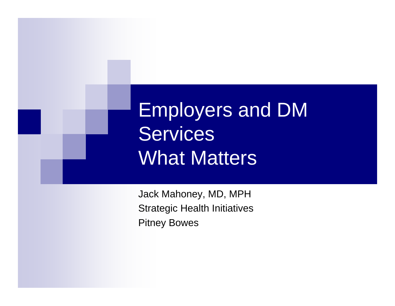Employers and DM **Services** What Matters

Jack Mahoney, MD, MPH Strategic Health Initiatives Pitney Bowes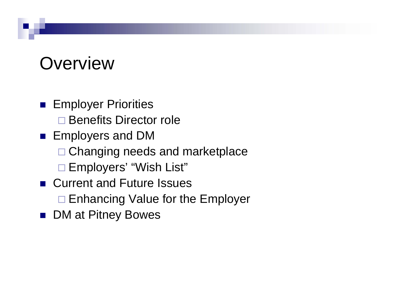## **Overview**

**Employer Priorities** □ Benefits Director role **Employers and DM** □ Changing needs and marketplace Employers' "Wish List" ■ Current and Future Issues

□ Enhancing Value for the Employer

■ DM at Pitney Bowes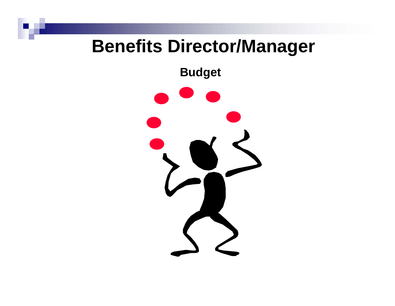### **Benefits Director/Manager**

**Budget**

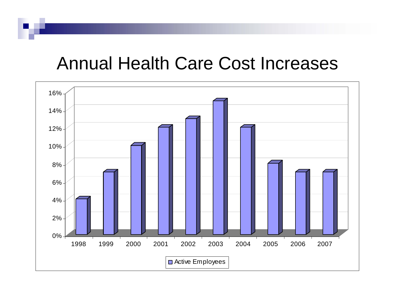### Annual Health Care Cost Increases

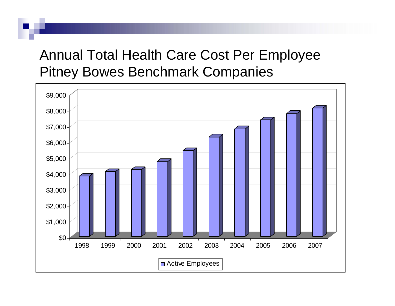#### Annual Total Health Care Cost Per Employee Pitney Bowes Benchmark Companies

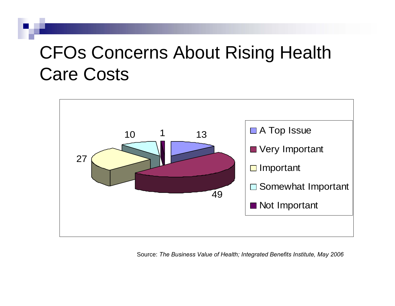# CFOs Concerns About Rising Health Care Costs



Source: *The Business Value of Health; Integrated Benefits Institute, May 2006*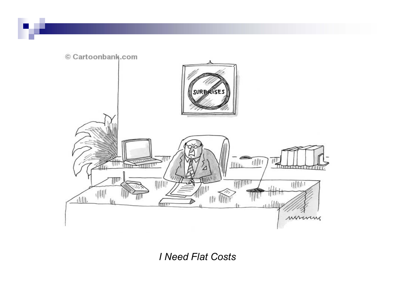

*I Need Flat Costs*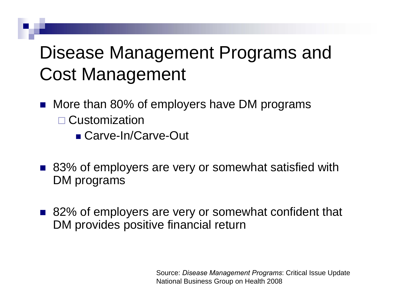# Disease Management Programs and Cost Management

- M. More than 80% of employers have DM programs □ Customization
	- Carve-In/Carve-Out
- 83% of employers are very or somewhat satisfied with DM programs
- M. 82% of employers are very or somewhat confident that DM provides positive financial return

Source: *Disease Management Programs*: Critical Issue Update National Business Group on Health 2008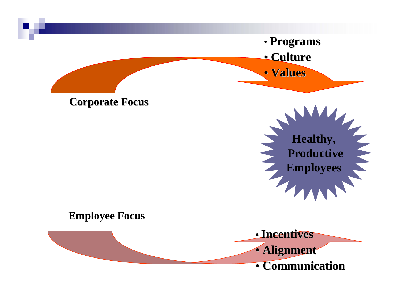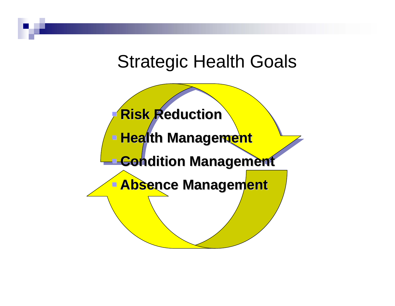### Strategic Health Goals

 **Risk Reduction Risk Reduction Exagement Management Condition Management Absence Management Absence Management**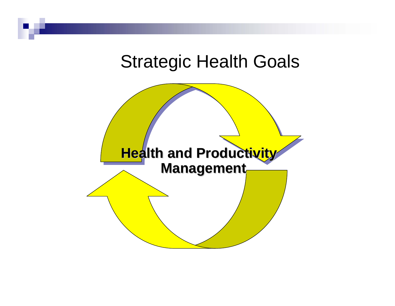### Strategic Health Goals

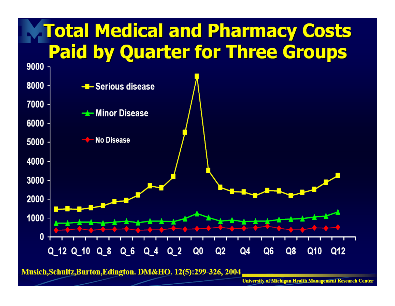

Musich, Schultz, Burton, Edington. DM&HO. 12(5):299-326, 2004

**University of Michigan Health Management Research Center**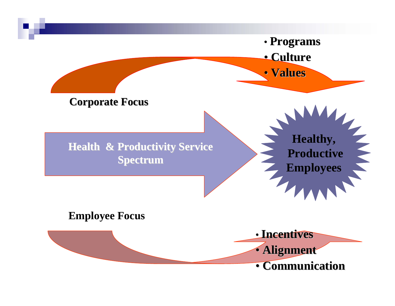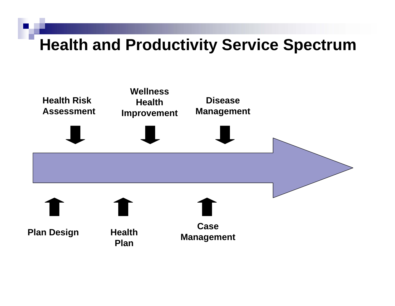### **Health and Productivity Service Spectrum**

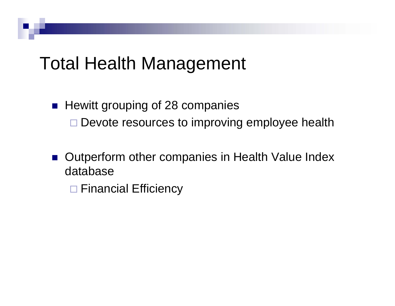### Total Health Management

#### **Hewitt grouping of 28 companies** □ Devote resources to improving employee health

■ Outperform other companies in Health Value Index database

□ Financial Efficiency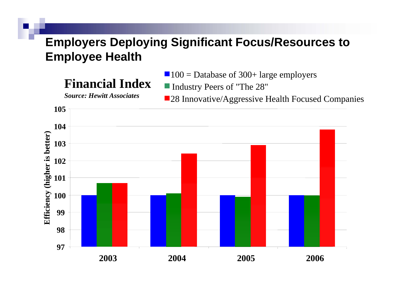#### **Employers Deploying Significant Focus/Resources to Employee Health**

#### **Financial Index**

*Source: Hewitt Associates*

 $100 =$  Database of 300+ large employers

■ Industry Peers of "The 28"

**28 Innovative/Aggressive Health Focused Companies** 

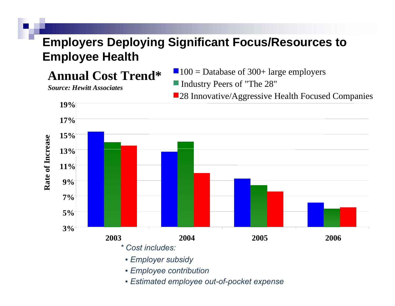#### **Employers Deploying Significant Focus/Resources to Employee Health**

**Annual Cost Trend\***

 $100 =$  Database of 300+ large employers

*Source: Hewitt Associates*

■ Industry Peers of "The 28"

**28 Innovative/Aggressive Health Focused Companies** 



- *▪ Employee contribution*
- *▪ Estimated employee out-of-pocket expense*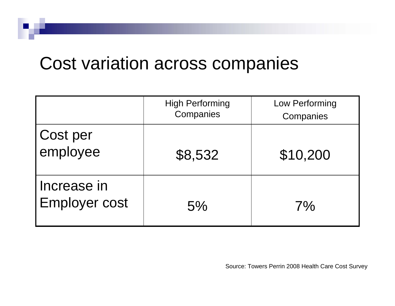### Cost variation across companies

|                                     | <b>High Performing</b><br>Companies | Low Performing<br>Companies |
|-------------------------------------|-------------------------------------|-----------------------------|
| Cost per<br>employee                | \$8,532                             | \$10,200                    |
| Increase in<br><b>Employer cost</b> | 5%                                  | 7%                          |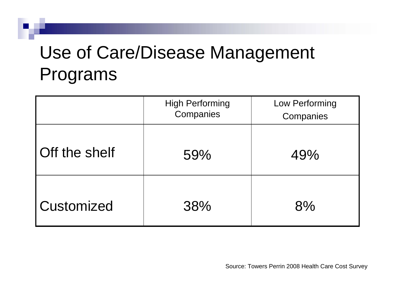# Use of Care/Disease Management Programs

|                      | <b>High Performing</b><br>Companies | Low Performing<br>Companies |
|----------------------|-------------------------------------|-----------------------------|
| <b>Off the shelf</b> | 59%                                 | 49%                         |
| <b>Customized</b>    | 38%                                 | 8%                          |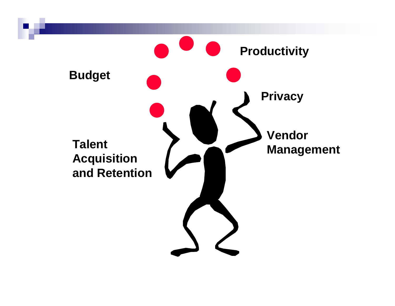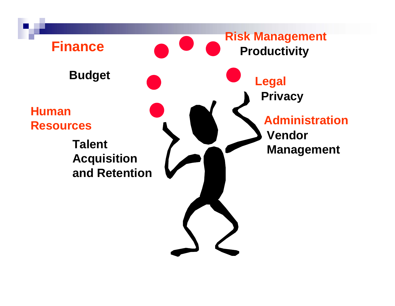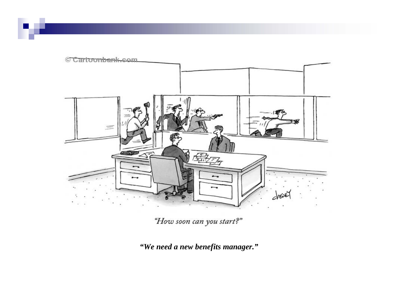

"How soon can you start?"

*"We need a new benefits manager."*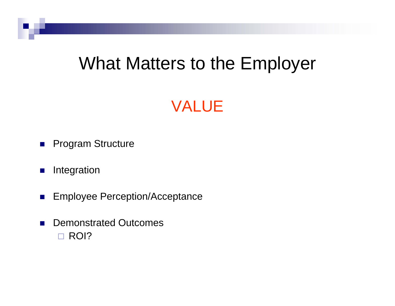### What Matters to the Employer

### VALUE

- $\mathcal{L}_{\mathcal{A}}$ Program Structure
- $\mathbb{R}^n$ Integration
- $\mathcal{L}_{\mathcal{A}}$ Employee Perception/Acceptance
- $\sim$  Demonstrated Outcomes □ ROI?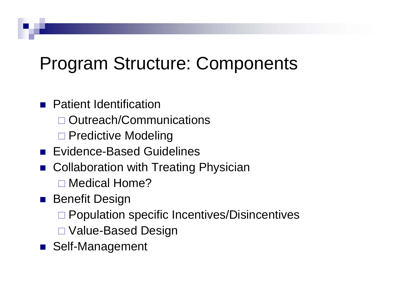# Program Structure: Components

#### **Patient Identification**

- □ Outreach/Communications
- □ Predictive Modeling
- **Exidence-Based Guidelines**
- Collaboration with Treating Physician
	- □ Medical Home?
- **Benefit Design** 
	- □ Population specific Incentives/Disincentives
	- Value-Based Design
- M. Self-Management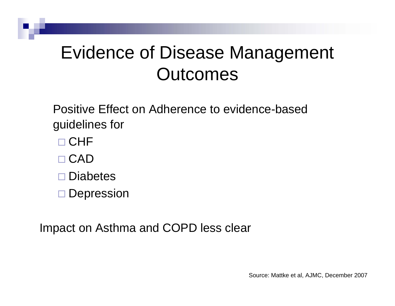# Evidence of Disease Management **Outcomes**

Positive Effect on Adherence to evidence-based guidelines for

- $\square$   ${\sf CHF}$
- □ CAD
- □ Diabetes

□ Depression

Impact on Asthma and COPD less clear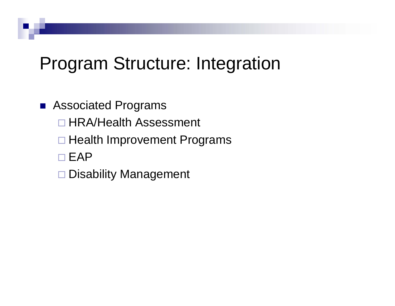## Program Structure: Integration

#### ■ Associated Programs

□ HRA/Health Assessment

- □ Health Improvement Programs
- $\square$  EAP
- □ Disability Management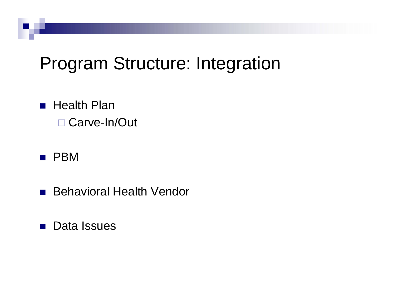## Program Structure: Integration

■ Health Plan Carve-In/Out

#### $\blacksquare$  PBM

- $\mathcal{L}^{\text{max}}_{\text{max}}$ Behavioral Health Vendor
- $\mathcal{O}(\mathbb{R}^d)$ Data Issues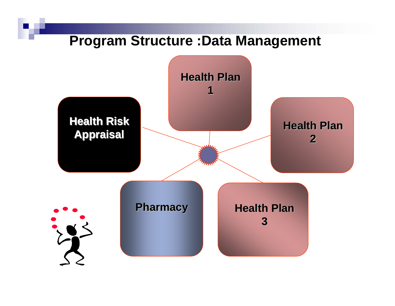#### **Program Structure :Data Management**

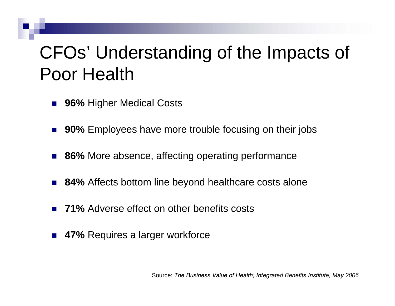# CFOs' Understanding of the Impacts of Poor Health

- $\mathcal{L}(\mathcal{A})$ ■ 96% Higher Medical Costs
- $\mathbb{R}^2$ ■ 90% Employees have more trouble focusing on their jobs
- 86% More absence, affecting operating performance
- $\mathbb{R}^2$ ■ 84% Affects bottom line beyond healthcare costs alone
- $\mathbb{R}^2$ ■ 71% Adverse effect on other benefits costs
- 47% Requires a larger workforce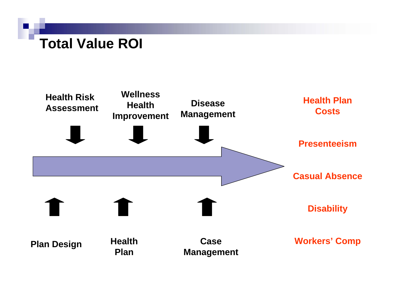#### **Total Value ROI**

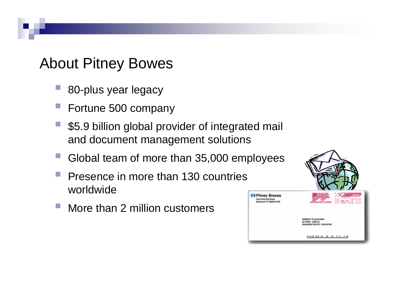#### About Pitney Bowes

- p. 80-plus year legacy
- Fortune 500 company
- \$5.9 billion global provider of integrated mail and document management solutions
- Global team of more than 35,000 employees
- p. Presence in more than 130 countries worldwide
- More than 2 million customers

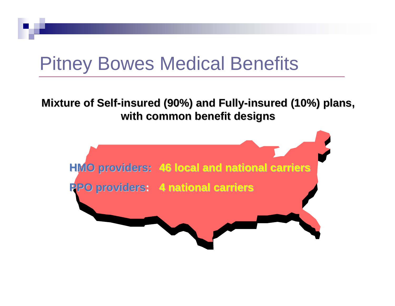# Pitney Bowes Medical Benefits

#### **Mixture of Self-insured (90%) and Fully-insured (10%) plans, with common benefit designs with common benefit designs**

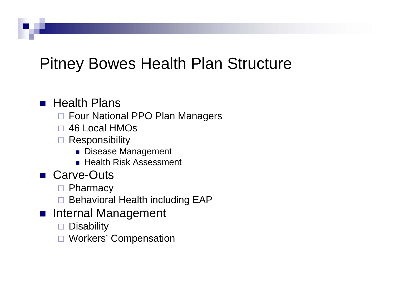### Pitney Bowes Health Plan Structure

#### **Realth Plans**

- □ Four National PPO Plan Managers
- 46 Local HMOs
- **□ Responsibility** 
	- Disease Management
	- Health Risk Assessment
- Carve-Outs
	- □ Pharmacy
	- □ Behavioral Health including EAP
- **n** Internal Management
	- $\Box$ **Disability**
	- □ Workers' Compensation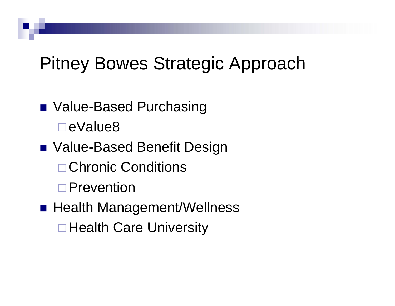# Pitney Bowes Strategic Approach

■ Value-Based Purchasing eValue8■ Value-Based Benefit Design **□ Chronic Conditions** □Prevention ■ Health Management/Wellness **□ Health Care University**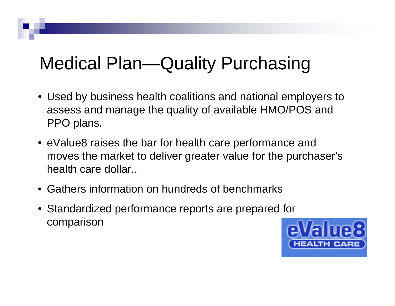# Medical Plan—Quality Purchasing

- Used by business health coalitions and national employers to assess and manage the quality of available HMO/POS and PPO plans.
- eValue8 raises the bar for health care performance and moves the market to deliver greater value for the purchaser's health care dollar..
- Gathers information on hundreds of benchmarks
- Standardized performance reports are prepared for comparison

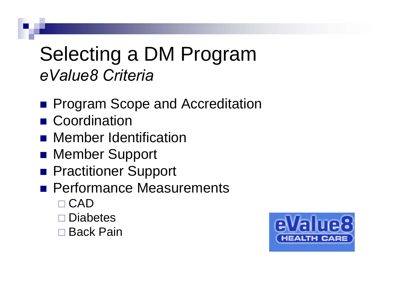# Selecting a DM Program *eValue8 Criteria*

- **Program Scope and Accreditation**
- **E** Coordination
- **Rember Identification**
- **Rember Support**
- **Practitioner Support**
- **Performance Measurements** 
	- □ CAD
	- □ Diabetes
	- □ Back Pain

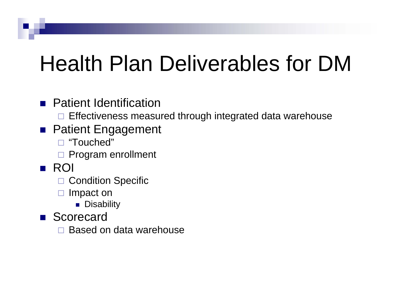# Health Plan Deliverables for DM

#### **Patient Identification**

 $\square$  Effectiveness measured through integrated data warehouse

#### **Patient Engagement**

- "Touched"
- □ Program enrollment

#### ■ ROI

- □ Condition Specific
- $\Box$  Impact on
	- **Disability**
- **Scorecard** 
	- $\Box$ Based on data warehouse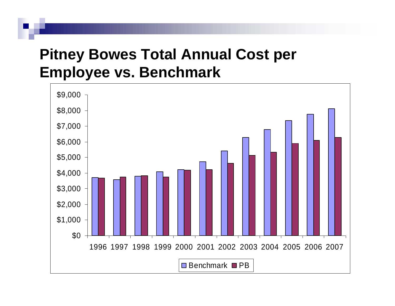#### **Pitney Bowes Total Annual Cost per Employee vs. Benchmark**

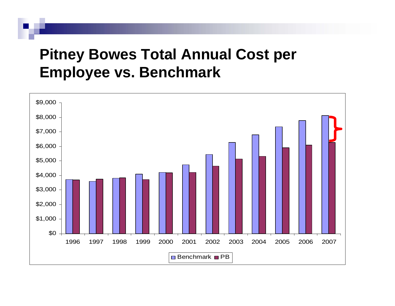#### **Pitney Bowes Total Annual Cost per Employee vs. Benchmark**

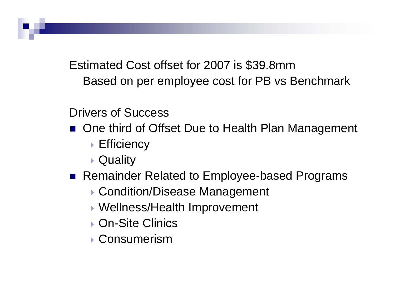Estimated Cost offset for 2007 is \$39.8mm Based on per employee cost for PB vs Benchmark

Drivers of Success

- One third of Offset Due to Health Plan Management
	- ▶ Efficiency
	- **▶ Quality**
- Remainder Related to Employee-based Programs
	- ▶ Condition/Disease Management
	- Wellness/Health Improvement
	- **▶ On-Site Clinics**
	- **▶ Consumerism**